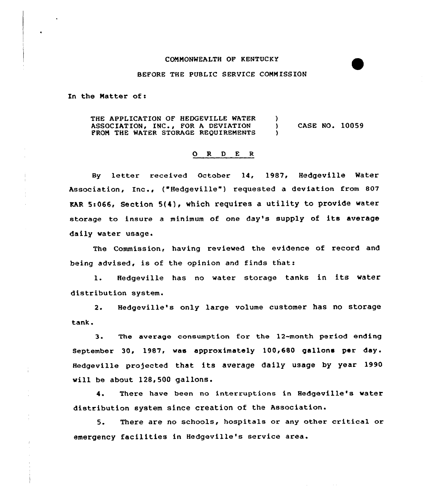## CONNONWEALTH OF KENTUCKY

## BEFORE THE PUBLIC SERVICE CONNISSION

In the Natter of:

THE APPLICATION OF HEDGEVILLE WATER ASSOCIATION, INC., FOR A DEVIATION PRON THE WATER STORAGE REQUIRENENTS  $\left\{ \right.$ ) CASE NO. 10059 )

## 0 R <sup>D</sup> <sup>E</sup> <sup>R</sup>

By letter received October 14, 1987, Hedgeville Water Association, Inc., ("Hedgeville") requested a deviation from 807 EAR Si066, Section 5(4), which requires <sup>a</sup> utility to provide water storage to insure <sup>a</sup> minimum of one day's supply of its average daily water usage.

The Commission, having reviewed the evidence of record and being advised, is of the opinion and finds that:

l. Hedgeville has no water storage tanks in its water distribution system.

2. Hedgeville's only large volume customer has no storage tank.

3. The average consumption for the 12-month period ending September 30, 1987, was approximately 100,680 gallons per day. Hedgeville projected that its average daily usage by year 1990 will be about 128,500 gallons.

4. There have been no interruptions in Hedgeville's water distribution system since creation of the Association.

5. There are no schools, hospitals or any other critical ar emergency facilities in Hedgeville's service area.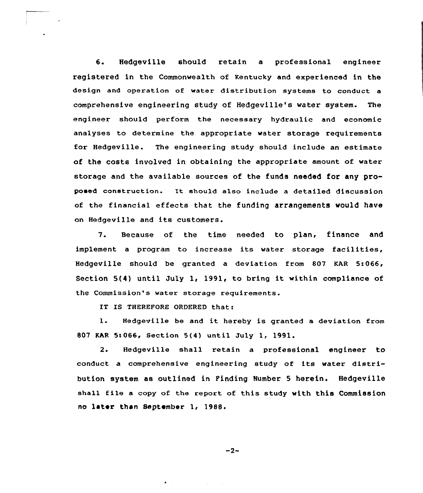6. Hedgeville should retain <sup>a</sup> professional engineer registered in the Commonwealth of Kentucky and experienced in the design and operation of water distribution systems to conduct a comprehensive engineering study of Hedgeville's water system. The engineer should perform the necessary hydraulic and economic analyses to determine the appropriate water storage requirements for Hedgeville. The engineering study should include an estimate of the costs involved in obtaining the appropriate amount of water storage and the available sources of the funds needed for any proposed construction. Tt should also include a detailed discussion of the financial effects that the funding arrangements would have on Hedgeville and its customers.

7. Because of the time needed to plan, finance and implement a program to increase its water storage facilities, Hedgeville should be granted a deviation from 807 KAR 5:066, Section  $5(4)$  until July 1, 1991, to bring it within compliance of the Commission's water storage requirements.

IT IS THEREFORE ORDERED that:

1. Hedgeville be and it hereby is granted <sup>a</sup> deviation from 807 KAR 5:066, Section 5(4) until July 1, 1991.

2. Hedgeville shall retain a professional engineer to conduct a comprehensive engineering study of its water distribution system as outlined in Finding Number 5 herein. Hedgeville shall file <sup>a</sup> copy of the report of this study with this Commission no later than September 1, 19SS.

 $-2-$ 

 $\mathcal{L}^{\text{max}}_{\text{max}}$  , where  $\mathcal{L}^{\text{max}}_{\text{max}}$